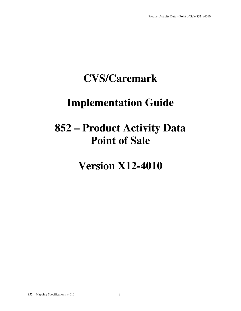### **CVS/Caremark**

### **Implementation Guide**

## **852 – Product Activity Data Point of Sale**

**Version X12-4010**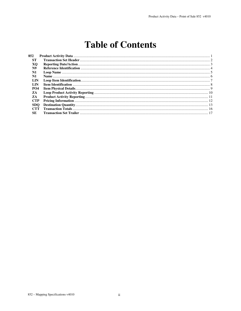### **Table of Contents**

| 852            |  |
|----------------|--|
| <b>ST</b>      |  |
| XO.            |  |
| N9             |  |
| N <sub>1</sub> |  |
| $\mathbf{N}$ 1 |  |
| LIN            |  |
| LIN            |  |
| <b>PO4</b>     |  |
| ZA             |  |
| ZA             |  |
| <b>CTP</b>     |  |
| <b>SDO</b>     |  |
| <b>CTT</b>     |  |
| SE             |  |
|                |  |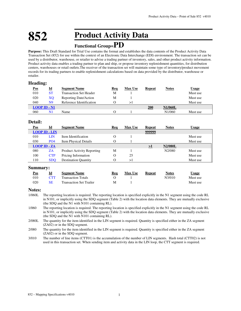### **852 Product Activity Data**

### **Functional Group=PD**

**Purpose:** This Draft Standard for Trial Use contains the format and establishes the data contents of the Product Activity Data Transaction Set (852) for use within the context of an Electronic Data Interchange (EDI) environment. The transaction set can be used by a distributor, warehouse, or retailer to advise a trading partner of inventory, sales, and other product activity information. Product activity data enables a trading partner to plan and ship, or propose inventory replenishment quantities, for distribution centers, warehouses or retail outlets.The receiver of the transaction set will maintain some type of inventory/product movement records for its trading partners to enable replenishment calculations based on data provided by the distributor, warehouse or retailer.

#### **Heading:**

| <u>Pos</u> | -<br>$\underline{\mathbf{Id}}$ | <b>Segment Name</b>           | <b>Req</b> | <b>Max Use</b> | Repeat | <b>Notes</b>        | <u>Usage</u> |
|------------|--------------------------------|-------------------------------|------------|----------------|--------|---------------------|--------------|
| 010        | <b>ST</b>                      | <b>Transaction Set Header</b> | M          |                |        |                     | Must use     |
| 020        | XO                             | Reporting Date/Action         | М          |                |        |                     | Must use     |
| 040        | N9                             | Reference Identification      |            | ⊳∣             |        |                     | Must use     |
|            | $LOOP$ ID $\text{-}$ N1        |                               |            |                | 200    | <b>N1/060L</b>      |              |
| 060        | N1                             | Name                          |            |                |        | N <sub>1</sub> /060 | Must use     |

#### **Detail:**

| Pos | Id                   | <b>Segment Name</b>               | Req | <b>Max Use</b> | <b>Repeat</b> | <b>Notes</b>   | Usage    |
|-----|----------------------|-----------------------------------|-----|----------------|---------------|----------------|----------|
|     | <b>LOOP ID - LIN</b> |                                   |     |                | 999999        |                |          |
| 010 | LIN                  | Item Identification               |     |                |               |                | Must use |
| 030 | <b>PO4</b>           | <b>Item Physical Details</b>      |     |                |               |                | Must use |
|     | $LOOP ID - ZA$       |                                   |     |                | >1            | <b>N2/080L</b> |          |
| 080 | ZA                   | <b>Product Activity Reporting</b> | М   |                |               | N2/080         | Must use |
| 100 | <b>CTP</b>           | Pricing Information               |     | 25             |               |                | Must use |
| 110 | <b>SDO</b>           | <b>Destination Quantity</b>       |     | >1             |               |                | Must use |

#### **Summary:**

| <u>Pos</u> |            | <b>Segment Name</b>            | Rea | <b>Max Use</b> | Repeat | <b>Notes</b> | Usage    |
|------------|------------|--------------------------------|-----|----------------|--------|--------------|----------|
| 010        | <b>CTT</b> | <b>Transaction Totals</b>      |     |                |        | N3/010       | Must use |
| 020        | SE         | <b>Transaction Set Trailer</b> | M   |                |        |              | Must use |

#### **Notes:**

- 1/060L The reporting location is required. The reporting location is specified explicitly in the N1 segment using the code RL in N101, or implicitly using the SDQ segment (Table 2) with the location data elements. They are mutually exclusive (the SDQ and the N1 with N101 containing RL).
- 1/060 The reporting location is required. The reporting location is specified explicitly in the N1 segment using the code RL in N101, or implicitly using the SDQ segment (Table 2) with the location data elements. They are mutually exclusive (the SDQ and the N1 with N101 containing RL).
- 2/080L The quantity for the item identified in the LIN segment is required. Quantity is specified either in the ZA segment (ZA02) or in the SDQ segment.
- 2/080 The quantity for the item identified in the LIN segment is required. Quantity is specified either in the ZA segment (ZA02) or in the SDQ segment.
- 3/010 The number of line items (CTT01) is the accumulation of the number of LIN segments. Hash total (CTT02) is not used in this transaction set. When sending item and activity data in the LIN loop, the CTT segment is required.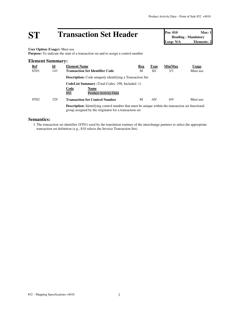## **ST Transaction Set Header Pos: 010 Max: 1**<br> **Pos: 010 Max: 1**<br> **Loop: N/A Elements: 2**

**Heading - Mandatory Elements: 2** 

**User Option (Usage):** Must use

**Purpose:** To indicate the start of a transaction set and to assign a control number

#### **Element Summary: Ref Id Element Name Req Type Min/Max Usage** ST01 143 **Transaction Set Identifier Code** M ID 3/3 Must use **Description:** Code uniquely identifying a Transaction Set **CodeList Summary** (Total Codes: 298, Included: 1) **Code Name** Product Activity Data ST02 329 **Transaction Set Control Number** M AN 4/9 Must use **Description:** Identifying control number that must be unique within the transaction set functional group assigned by the originator for a transaction set

#### **Semantics:**

1.The transaction set identifier (ST01) used by the translation routines of the interchange partners to select the appropriate transaction set definition (e.g., 810 selects the Invoice Transaction Set).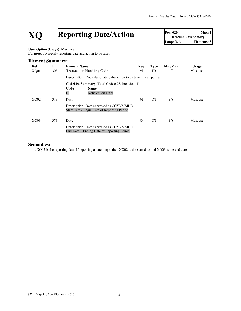## **XQ Reporting Date/Action Pos: 020 Max: 1**<br> **Reporting Date/Action Pos: 020 Max: 1**<br> **Loop: N/A Elements: 3**

**Heading - Mandatory Elements: 3** 

**User Option (Usage):** Must use Purpose: To specify reporting date and action to be taken

#### **Element Summary:**

| <u>Ref</u> | $\underline{\mathbf{Id}}$ | <b>Element Name</b>                                                                                                                         | Req      | <b>Type</b> | Min/Max | <b>Usage</b> |
|------------|---------------------------|---------------------------------------------------------------------------------------------------------------------------------------------|----------|-------------|---------|--------------|
| XQ01       | 305                       | <b>Transaction Handling Code</b>                                                                                                            | М        | ID          | 1/2     | Must use     |
|            |                           | <b>Description:</b> Code designating the action to be taken by all parties                                                                  |          |             |         |              |
|            |                           | <b>CodeList Summary</b> (Total Codes: 23, Included: 1)<br><b>Code</b><br><b>Name</b><br>$\overline{\mathrm{H}}$<br><b>Notification Only</b> |          |             |         |              |
| XO02       | 373                       | Date                                                                                                                                        | M        | DT          | 8/8     | Must use     |
|            |                           | <b>Description:</b> Date expressed as CCYYMMDD<br>Start Date - Begin Date of Reporting Period                                               |          |             |         |              |
| XO03       | 373                       | Date                                                                                                                                        | $\Omega$ | DT          | 8/8     | Must use     |
|            |                           | <b>Description:</b> Date expressed as CCYYMMDD<br>End Date – Ending Date of Reporting Period                                                |          |             |         |              |

#### **Semantics:**

1. XQ02 is the reporting date. If reporting a date range, then XQ02 is the start date and XQ03 is the end date.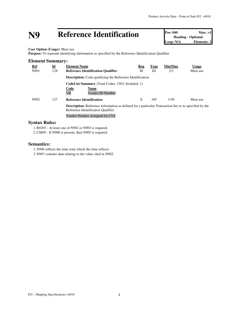## **N9 Reference Identification Pos: 040 Max: >1**<br> **Loop: N/A Elements: 2**<br> **Loop: N/A Elements: 2**

**Heading - Optional Elements: 2** 

**User Option (Usage):** Must use

**Purpose:** To transmit identifying information as specified by the Reference Identification Qualifier

| <b>Element Summary:</b> |                           |                                                                                                                                                    |     |             |         |              |
|-------------------------|---------------------------|----------------------------------------------------------------------------------------------------------------------------------------------------|-----|-------------|---------|--------------|
| Ref                     | $\underline{\mathbf{Id}}$ | <b>Element Name</b>                                                                                                                                | Req | <b>Type</b> | Min/Max | <b>Usage</b> |
| N901                    | 128                       | <b>Reference Identification Qualifier</b>                                                                                                          | М   | ID          | 2/3     | Must use     |
|                         |                           | <b>Description:</b> Code qualifying the Reference Identification                                                                                   |     |             |         |              |
|                         |                           | <b>CodeList Summary</b> (Total Codes: 1503, Included: 1)                                                                                           |     |             |         |              |
|                         |                           | Code<br>Name                                                                                                                                       |     |             |         |              |
|                         |                           | VR<br>Vendor ID Number                                                                                                                             |     |             |         |              |
| N902                    | 127                       | <b>Reference Identification</b>                                                                                                                    | X   | AN          | 1/30    | Must use     |
|                         |                           | <b>Description:</b> Reference information as defined for a particular Transaction Set or as specified by the<br>Reference Identification Qualifier |     |             |         |              |
|                         |                           | Vendor Number Assigned by CVS                                                                                                                      |     |             |         |              |

#### **Syntax Rules:**

1.R0203 - At least one of N902 or N903 is required.

2.C0605 - If N906 is present, then N905 is required.

#### **Semantics:**

1. N906 reflects the time zone which the time reflects.

2. N907 contains data relating to the value cited in N902.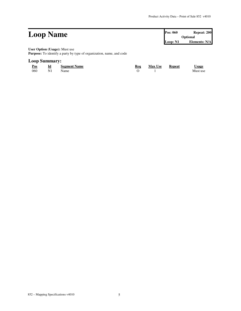|                                                                      | <b>Pos: 060</b> | Repeat: 200<br>Optional |  |
|----------------------------------------------------------------------|-----------------|-------------------------|--|
| <b>Loop Name</b>                                                     |                 |                         |  |
|                                                                      | Loop: N1        | Elements: N/A           |  |
| <b>User Option (Usage):</b> Must use                                 |                 |                         |  |
| Purpose: To identify a party by type of organization, name, and code |                 |                         |  |
|                                                                      |                 |                         |  |

#### **Loop Summary:**

| <u>Pos</u> | Id             | <b>Segment Name</b> | Req | <b>Max Use</b> | <b>Repeat</b> | <u>Usage</u> |
|------------|----------------|---------------------|-----|----------------|---------------|--------------|
| 060        | N <sub>1</sub> | Name                |     |                |               | Must use     |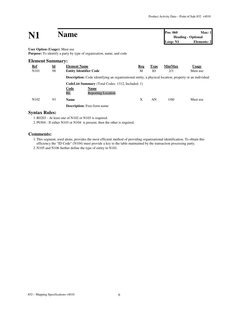### **N1 Name Pos:**  $060$  **Max:** 1<br>**Heading - Optional**

**Heading - Optional Loop: N1 Elements: 2**

#### **User Option (Usage):** Must use

**Purpose:** To identify a party by type of organization, name, and code

| <b>Element Summary:</b> |                           |                                                                                                        |     |             |         |              |
|-------------------------|---------------------------|--------------------------------------------------------------------------------------------------------|-----|-------------|---------|--------------|
| <u>Ref</u>              | $\underline{\mathbf{Id}}$ | <b>Element Name</b>                                                                                    | Req | <b>Type</b> | Min/Max | <b>Usage</b> |
| N <sub>10</sub> 1       | 98                        | <b>Entity Identifier Code</b>                                                                          | М   | ID          | 2/3     | Must use     |
|                         |                           | Description: Code identifying an organizational entity, a physical location, property or an individual |     |             |         |              |
|                         |                           | <b>CodeList Summary</b> (Total Codes: 1312, Included: 1)                                               |     |             |         |              |
|                         |                           | Code<br>Name<br>RL<br><b>Reporting Location</b>                                                        |     |             |         |              |
| N <sub>102</sub>        | 93                        | <b>Name</b>                                                                                            | X   | AN          | 1/60    | Must use     |
|                         |                           | <b>Description:</b> Free-form name                                                                     |     |             |         |              |

#### **Syntax Rules:**

1.R0203 - At least one of N102 or N103 is required.

2. P0304 - If either N103 or N104 is present, then the other is required.

#### **Comments:**

1.This segment, used alone, provides the most efficient method of providing organizational identification. To obtain this efficiency the "ID Code" (N104) must provide a key to the table maintained by the transaction processing party.

2. N105 and N106 further define the type of entity in N101.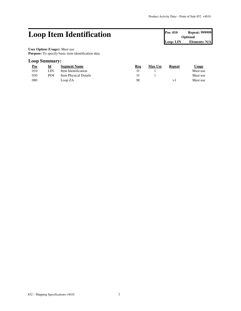### Loop Item Identification **Pos: 010 Repeat: 999999**

**Optional Loop: LIN Elements: N/A**

**User Option (Usage):** Must use Purpose: To specify basic item identification data

#### **Loop Summary:**

| <u>Pos</u> | <u>id</u>       | <b>Segment Name</b>   | Req | <b>Max Use</b> | Repeat | Usage    |
|------------|-----------------|-----------------------|-----|----------------|--------|----------|
| 010        | LIN             | Item Identification   |     |                |        | Must use |
| 030        | PO <sub>4</sub> | Item Physical Details |     |                |        | Must use |
| 080        |                 | Loop ZA               | М   |                |        | Must use |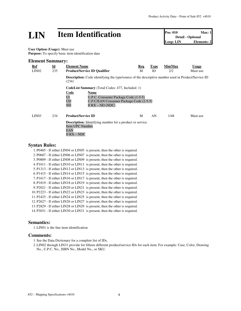## **LIN Item Identification Pos: 010 Max: 1**<br> **Loop:** LIN **Elements: 2**<br> **Loop:** LIN **Elements: 2**

**Detail - Optional** Loop: LIN

**User Option (Usage):** Must use **Purpose:** To specify basic item identification data

#### **Element Summary:**

| Ref<br>LIN02      | $\underline{\mathbf{Id}}$<br>235 | <b>Element Name</b><br><b>Product/Service ID Qualifier</b>                                                         | Req<br>M | <b>Type</b><br>ID | Min/Max<br>2/2 | <b>Usage</b><br>Must use |
|-------------------|----------------------------------|--------------------------------------------------------------------------------------------------------------------|----------|-------------------|----------------|--------------------------|
|                   |                                  | <b>Description:</b> Code identifying the type/source of the descriptive number used in Product/Service ID<br>(234) |          |                   |                |                          |
|                   |                                  | <b>CodeList Summary</b> (Total Codes: 477, Included: 1)                                                            |          |                   |                |                          |
|                   |                                  | <b>Code</b><br>Name                                                                                                |          |                   |                |                          |
|                   |                                  | $\overline{U}$<br>U.P.C. Consumer Package Code (1-5-5)                                                             |          |                   |                |                          |
|                   |                                  | <b>UD</b><br>U.P.C/EAN Consumer Package Code (2-5-5)                                                               |          |                   |                |                          |
|                   |                                  | ND<br>If $RX - ND$ (NDC)                                                                                           |          |                   |                |                          |
| LIN <sub>03</sub> | 234                              | <b>Product/Service ID</b>                                                                                          | M        | AN                | 1/48           | Must use                 |
|                   |                                  | <b>Description:</b> Identifying number for a product or service<br><b>Item UPC Number</b><br>EAN<br>If $RX - NDC$  |          |                   |                |                          |

#### **Syntax Rules:**

1. P0405 - If either LIN04 or LIN05 is present, then the other is required. 2. P0607 - If either LIN06 or LIN07 is present, then the other is required. 3. P0809 - If either LIN08 or LIN09 is present, then the other is required. 4. P1011 - If either LIN10 or LIN11 is present, then the other is required. 5. P1213 - If either LIN12 or LIN13 is present, then the other is required. 6. P1415 - If either LIN14 or LIN15 is present, then the other is required. 7. P1617 - If either LIN16 or LIN17 is present, then the other is required. 8. P1819 - If either LIN18 or LIN19 is present, then the other is required. 9. P2021 - If either LIN20 or LIN21 is present, then the other is required. 10. P2223 - If either LIN22 or LIN23 is present, then the other is required. 11. P2425 - If either LIN24 or LIN25 is present, then the other is required. 12. P2627 - If either LIN26 or LIN27 is present, then the other is required. 13. P2829 - If either LIN28 or LIN29 is present, then the other is required. 14. P3031 - If either LIN30 or LIN31 is present, then the other is required.

#### **Semantics:**

1.LIN01 is the line item identification

#### **Comments:**

1. See the Data Dictionary for a complete list of IDs.

2.LIN02 through LIN31 provide for fifteen different product/service IDs for each item. For example: Case, Color, Drawing No., U.P.C. No., ISBN No., Model No., or SKU.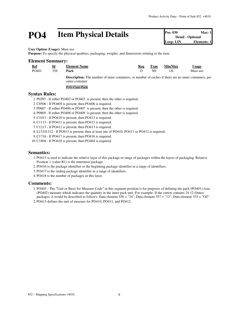## **PO4 Item Physical Details Pos: 030 Max: 1 Detail - Optional Loop: LIN Elements: 1 Conserver Example**

**Detail - Optional Loop:** LIN

**User Option (Usage):** Must use

**Purpose:** To specify the physical qualities, packaging, weights, and dimensions relating to the item

#### **Element Summary:**

| Ref   | $\underline{\mathbf{Id}}$ | <b>Element Name</b>                                                                                           | Rea | Type | Min/Max | <u>Usage</u> |
|-------|---------------------------|---------------------------------------------------------------------------------------------------------------|-----|------|---------|--------------|
| PO401 | 356                       | Pack                                                                                                          |     | N()  | 1/6     | Must use     |
|       |                           | <b>Description:</b> The number of inner containers, or number of eaches if there are no inner containers, per |     |      |         |              |

outer container P.O. Case Pack

#### **Syntax Rules:**

1. P0203 - If either PO402 or PO403 is present, then the other is required.

- 2.C0506 If PO405 is present, then PO406 is required.
- 3. P0607 If either PO406 or PO407 is present, then the other is required.
- 4. P0809 If either PO408 or PO409 is present, then the other is required.
- 5.C1013 If PO410 is present, then PO413 is required.
- 6.C1113 If PO411 is present, then PO413 is required.
- 7.C1213 If PO412 is present, then PO413 is required.
- 8.L13101112 If PO413 is present, then at least one of PO410, PO411 or PO412 is required.
- 9.C1716 If PO417 is present, then PO416 is required.
- 10.C1804 If PO418 is present, then PO404 is required.

#### **Semantics:**

- 1. PO415 is used to indicate the relative layer of this package or range of packages within the layers of packaging. Relative Position 1 (value R1) is the innermost package.
- 2. PO416 is the package identifier or the beginning package identifier in a range of identifiers.
- 3. PO417 is the ending package identifier in a range of identifiers.
- 4. PO418 is the number of packages in this layer.

#### **Comments:**

- 1. PO403 The "Unit or Basis for Measure Code" in this segment position is for purposes of defining the pack (PO401) /size (PO402) measure which indicates the quantity in the inner pack unit. For example: If the carton contains 24 12-Ounce packages, it would be described as follows: Data element 356 = "24"; Data element 357 = "12"; Data element 355 = "OZ".
- 2. PO413 defines the unit of measure for PO410, PO411, and PO412.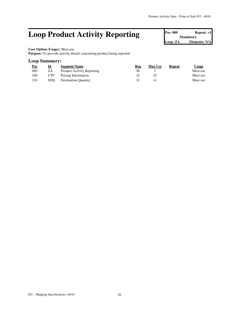### **Loop Product Activity Reporting**

| Pos: 080         | Repest: >1    |  |  |  |  |
|------------------|---------------|--|--|--|--|
| <b>Mandatory</b> |               |  |  |  |  |
| Loop: ZA         | Elements: N/A |  |  |  |  |

ī

### **User Option (Usage):** Must use

**Purpose:** To provide activity details concerning product being reported

#### **Loop Summary:**

| <u>Pos</u> | <u>Id</u> | <b>Segment Name</b>               | Req | <b>Max Use</b> | Repeat | Usage    |
|------------|-----------|-----------------------------------|-----|----------------|--------|----------|
| 080        | ΖA        | <b>Product Activity Reporting</b> | М   |                |        | Must use |
| 100        | CTP       | Pricing Information               |     |                |        | Must use |
| 110        | SDO.      | <b>Destination Quantity</b>       |     |                |        | Must use |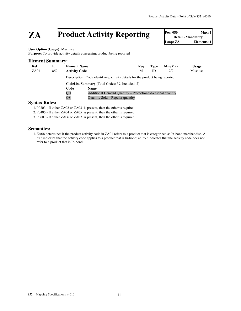### **ZA** Product Activity Reporting

| Pos: 080 | Max:1                     |
|----------|---------------------------|
|          | <b>Detail - Mandatory</b> |
| Loop: ZA | Elements: 1               |

#### **User Option (Usage):** Must use

Purpose: To provide activity details concerning product being reported

#### **Element Summary:**

| <b>Ref</b>             | <u>Id</u> | <b>Element Name</b>  |                                                                                      | Req | <b>Type</b> | Min/Max | <b>Usage</b> |
|------------------------|-----------|----------------------|--------------------------------------------------------------------------------------|-----|-------------|---------|--------------|
| ZA01                   | 859       | <b>Activity Code</b> |                                                                                      | М   | ID          | 2/2     | Must use     |
|                        |           |                      | <b>Description:</b> Code identifying activity details for the product being reported |     |             |         |              |
|                        |           |                      | <b>CodeList Summary</b> (Total Codes: 39, Included: 2)                               |     |             |         |              |
|                        |           | Code                 | <b>Name</b>                                                                          |     |             |         |              |
|                        |           | QD                   | Additional Demand Quantity – Promotional/Seasonal quantity                           |     |             |         |              |
|                        |           | QS                   | Quantity Sold – Regular quantity                                                     |     |             |         |              |
| <b>Syntax Rules:</b>   |           |                      |                                                                                      |     |             |         |              |
| $\sim$ monon to $\sim$ |           |                      | .                                                                                    |     |             |         |              |

1. P0203 - If either ZA02 or ZA03 is present, then the other is required.

2. P0405 - If either ZA04 or ZA05 is present, then the other is required.

3. P0607 - If either ZA06 or ZA07 is present, then the other is required.

#### **Semantics:**

1.ZA08 determines if the product activity code in ZA01 refers to a product that is categorized as In-bond merchandise. A "Y" indicates that the activity code applies to a product that is In-bond; an "N" indicates that the activity code does not refer to a product that is In-bond.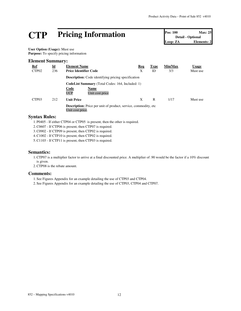## **CTP Pricing Information Pos: 100 Max: 25**<br> **Pos: 100 Max: 25**<br> **Detail - Optional**<br> **Loop: ZA Elements: 2**

**Detail - Optional Elements: 2** 

**User Option (Usage):** Must use **Purpose:** To specify pricing information

#### **Element Summary:**

| <u>Ref</u>        | $\underline{\mathbf{Id}}$ | <b>Element Name</b>                                                                         | Req | <b>Type</b> | Min/Max | <b>Usage</b> |
|-------------------|---------------------------|---------------------------------------------------------------------------------------------|-----|-------------|---------|--------------|
| CTP <sub>02</sub> | 236                       | <b>Price Identifier Code</b>                                                                | Χ   | ID          | 3/3     | Must use     |
|                   |                           | <b>Description:</b> Code identifying pricing specification                                  |     |             |         |              |
|                   |                           | <b>CodeList Summary</b> (Total Codes: 164, Included: 1)                                     |     |             |         |              |
|                   |                           | <b>Code</b><br>Name                                                                         |     |             |         |              |
|                   |                           | <b>UCP</b><br>Unit cost price                                                               |     |             |         |              |
| CTP <sub>03</sub> | 212                       | <b>Unit Price</b>                                                                           | X   | R           | 1/17    | Must use     |
|                   |                           | <b>Description:</b> Price per unit of product, service, commodity, etc.<br>Unit cost price. |     |             |         |              |

#### **Syntax Rules:**

1. P0405 - If either CTP04 or CTP05 is present, then the other is required.

2.C0607 - If CTP06 is present, then CTP07 is required.

3.C0902 - If CTP09 is present, then CTP02 is required.

4.C1002 - If CTP10 is present, then CTP02 is required.

5.C1103 - If CTP11 is present, then CTP03 is required.

#### **Semantics:**

1.CTP07 is a multiplier factor to arrive at a final discounted price. A multiplier of .90 would be the factor if a 10% discount is given.

2.CTP08 is the rebate amount.

#### **Comments:**

1. See Figures Appendix for an example detailing the use of CTP03 and CTP04.

2. See Figures Appendix for an example detailing the use of CTP03, CTP04 and CTP07.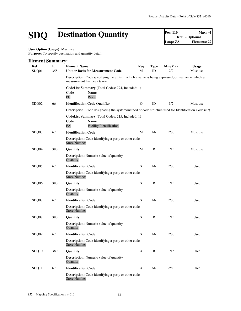## **SDQ Destination Quantity Pos: 110 Max: >1**<br> **Destination Quantity Pos: 110 Detail Detail Detail Detail Detail Detail Elements: 22**

**Detail - Optional Loop: ZA Elements: 22**

**User Option (Usage):** Must use Purpose: To specify destination and quantity detail

#### **Element Summary: Ref Id Element Name Req Type Min/Max Usage** SDQ01 355 **Unit or Basis for Measurement Code** M ID 2/2 Must use **Description:** Code specifying the units in which a value is being expressed, or manner in which a measurement has been taken **CodeList Summary** (Total Codes: 794, Included: 1) **Code Name** PC Piece SDQ02 66 **Identification Code Qualifier** 0 ID 1/2 Must use **Description:** Code designating the system/method of code structure used for Identification Code (67) **CodeList Summary** (Total Codes: 215, Included: 1) **Code Name** FA Facility Identification SDQ03 67 **Identification Code** M AN 2/80 Must use **Description:** Code identifying a party or other code Store Number SDQ04 380 **Quantity** M R 1/15 Must use **Description:** Numeric value of quantity **Quantity** SDQ05 67 **Identification Code** X AN 2/80 Used **Description:** Code identifying a party or other code Store Number SDQ06 380 **Quantity** X R 1/15 Used **Description:** Numeric value of quantity **Quantity** SDQ07 67 **Identification Code** X AN 2/80 Used **Description:** Code identifying a party or other code Store Number SDQ08 380 **Quantity** X R 1/15 Used **Description:** Numeric value of quantity **Quantity** SDQ09 67 **Identification Code** X AN 2/80 Used **Description:** Code identifying a party or other code Store Number SDQ10 380 **Quantity** X R 1/15 Used **Description:** Numeric value of quantity **Quantity** SDQ11 67 **Identification Code** X AN 2/80 Used **Description:** Code identifying a party or other code Store Number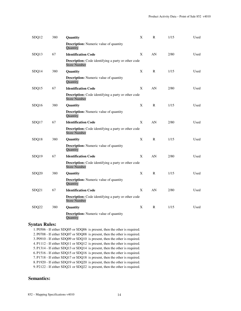| SDQ12 | 380 | Quantity                                                                          | X | $\mathbb{R}$ | 1/15 | Used |
|-------|-----|-----------------------------------------------------------------------------------|---|--------------|------|------|
|       |     | <b>Description:</b> Numeric value of quantity<br>Quantity                         |   |              |      |      |
| SDQ13 | 67  | <b>Identification Code</b>                                                        | X | AN           | 2/80 | Used |
|       |     | <b>Description:</b> Code identifying a party or other code<br><b>Store Number</b> |   |              |      |      |
| SDQ14 | 380 | Quantity                                                                          | X | R            | 1/15 | Used |
|       |     | <b>Description:</b> Numeric value of quantity<br>Quantity                         |   |              |      |      |
| SDQ15 | 67  | <b>Identification Code</b>                                                        | X | AN           | 2/80 | Used |
|       |     | <b>Description:</b> Code identifying a party or other code<br><b>Store Number</b> |   |              |      |      |
| SDQ16 | 380 | Quantity                                                                          | X | $\mathbb{R}$ | 1/15 | Used |
|       |     | <b>Description:</b> Numeric value of quantity<br>Quantity                         |   |              |      |      |
| SDQ17 | 67  | <b>Identification Code</b>                                                        | X | AN           | 2/80 | Used |
|       |     | <b>Description:</b> Code identifying a party or other code<br><b>Store Number</b> |   |              |      |      |
| SDQ18 | 380 | Quantity                                                                          | X | R            | 1/15 | Used |
|       |     | <b>Description:</b> Numeric value of quantity<br>Quantity                         |   |              |      |      |
| SDQ19 | 67  | <b>Identification Code</b>                                                        | X | AN           | 2/80 | Used |
|       |     | <b>Description:</b> Code identifying a party or other code<br><b>Store Number</b> |   |              |      |      |
| SDQ20 | 380 | Quantity                                                                          | X | R            | 1/15 | Used |
|       |     | <b>Description:</b> Numeric value of quantity<br>Quantity                         |   |              |      |      |
| SDQ21 | 67  | <b>Identification Code</b>                                                        | X | AN           | 2/80 | Used |
|       |     | <b>Description:</b> Code identifying a party or other code<br><b>Store Number</b> |   |              |      |      |
| SDQ22 | 380 | Quantity                                                                          | X | $\mathbb{R}$ | 1/15 | Used |
|       |     | <b>Description:</b> Numeric value of quantity<br>Quantity                         |   |              |      |      |

#### **Syntax Rules:**

1. P0506 - If either SDQ05 or SDQ06 is present, then the other is required. 2. P0708 - If either SDQ07 or SDQ08 is present, then the other is required. 3. P0910 - If either SDQ09 or SDQ10 is present, then the other is required. 4. P1112 - If either SDQ11 or SDQ12 is present, then the other is required. 5. P1314 - If either SDQ13 or SDQ14 is present, then the other is required. 6. P1516 - If either SDQ15 or SDQ16 is present, then the other is required. 7. P1718 - If either SDQ17 or SDQ18 is present, then the other is required. 8. P1920 - If either SDQ19 or SDQ20 is present, then the other is required. 9. P2122 - If either SDQ21 or SDQ22 is present, then the other is required.

#### **Semantics:**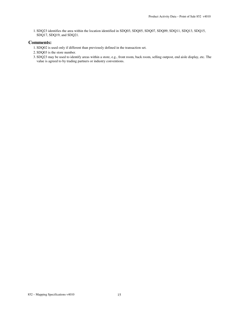1. SDQ23 identifies the area within the location identified in SDQ03, SDQ05, SDQ07, SDQ09, SDQ11, SDQ13, SDQ15, SDQ17, SDQ19, and SDQ21.

#### **Comments:**

- 1. SDQ02 is used only if different than previously defined in the transaction set.
- 2. SDQ03 is the store number.
- 3. SDQ23 may be used to identify areas within a store, e.g., front room, back room, selling outpost, end aisle display, etc. The value is agreed to by trading partners or industry conventions.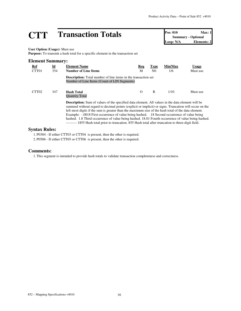## **CTT Transaction Totals Pos: 010 Max: 1**<br> **Doop: N/A Depertise Pos: 010 Max: 1**<br> **Loop: N/A Elements: 2**

**Summary - Optional Elements: 2** 

**User Option (Usage):** Must use

**Purpose:** To transmit a hash total for a specific element in the transaction set

| <b>Element Summary:</b> |           |                                                                                                                                                                                                                                                                                                                                                                                                                                                                                                                                                                                                                                       |          |                |         |              |
|-------------------------|-----------|---------------------------------------------------------------------------------------------------------------------------------------------------------------------------------------------------------------------------------------------------------------------------------------------------------------------------------------------------------------------------------------------------------------------------------------------------------------------------------------------------------------------------------------------------------------------------------------------------------------------------------------|----------|----------------|---------|--------------|
| Ref                     | <u>Id</u> | <b>Element Name</b>                                                                                                                                                                                                                                                                                                                                                                                                                                                                                                                                                                                                                   | Req      | <b>Type</b>    | Min/Max | <b>Usage</b> |
| CTT <sub>01</sub>       | 354       | <b>Number of Line Items</b>                                                                                                                                                                                                                                                                                                                                                                                                                                                                                                                                                                                                           | М        | N <sub>0</sub> | 1/6     | Must use     |
|                         |           | <b>Description:</b> Total number of line items in the transaction set<br>Number of Line Items (Count of LIN Segments)                                                                                                                                                                                                                                                                                                                                                                                                                                                                                                                 |          |                |         |              |
| CTT <sub>02</sub>       | 347       | <b>Hash Total</b><br><b>Ouantity Total</b>                                                                                                                                                                                                                                                                                                                                                                                                                                                                                                                                                                                            | $\Omega$ | R              | 1/10    | Must use     |
|                         |           | <b>Description:</b> Sum of values of the specified data element. All values in the data element will be<br>summed without regard to decimal points (explicit or implicit) or signs. Truncation will occur on the<br>left most digits if the sum is greater than the maximum size of the hash total of the data element.<br>Example: -.0018 First occurrence of value being hashed. .18 Second occurrence of value being<br>hashed. 1.8 Third occurrence of value being hashed. 18.01 Fourth occurrence of value being hashed.<br>--------- 1855 Hash total prior to truncation. 855 Hash total after truncation to three-digit field. |          |                |         |              |

#### **Syntax Rules:**

1. P0304 - If either CTT03 or CTT04 is present, then the other is required.

2. P0506 - If either CTT05 or CTT06 is present, then the other is required.

#### **Comments:**

1.This segment is intended to provide hash totals to validate transaction completeness and correctness.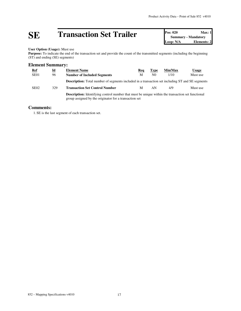# **SE Transaction Set Trailer Pos: 020 Max: 1**<br> **Doop: N/A Loop: N/A Elements: 2**

**Summary - Mandatory Elements: 2** 

#### **User Option (Usage):** Must use

Purpose: To indicate the end of the transaction set and provide the count of the transmitted segments (including the beginning (ST) and ending (SE) segments)

#### **Element Summary:**

| <b>Ref</b>       | $\underline{\mathbf{Id}}$ | <b>Element Name</b>                                                                                                                                                | Req | <b>Type</b>    | Min/Max | Usage    |
|------------------|---------------------------|--------------------------------------------------------------------------------------------------------------------------------------------------------------------|-----|----------------|---------|----------|
| SE <sub>01</sub> | 96                        | <b>Number of Included Segments</b>                                                                                                                                 | M   | N <sub>0</sub> | 1/10    | Must use |
|                  |                           | <b>Description:</b> Total number of segments included in a transaction set including ST and SE segments                                                            |     |                |         |          |
| SE <sub>02</sub> | 329                       | <b>Transaction Set Control Number</b>                                                                                                                              | M   | AN             | 4/9     | Must use |
|                  |                           | <b>Description:</b> Identifying control number that must be unique within the transaction set functional<br>group assigned by the originator for a transaction set |     |                |         |          |

#### **Comments:**

1. SE is the last segment of each transaction set.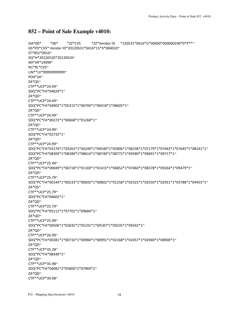#### **852 – Point of Sale Example v4010:**

ISA\*00\* \*00\* \*ZZ\*CVS \*ZZ\*Vendor ID \*120531\*0416\*U\*00400\*000000240\*0\*P\*^~ GS\*PD\*CVS\* Vendor ID\*20120531\*0416\*15\*X\*004010~ ST\*852\*0016~ XQ\*H\*20120520\*20120526~ N9\*VR\*19999~ N1\*RL\*CVS~ LIN\*\*UI\*99999999999~ PO4\*24~ ZA\*QS~ CTP\*\*UCP\*24.49~ SDQ\*PC\*FA\*04829\*1~ ZA\*QD~ CTP\*\*UCP\*24.49~ SDQ\*PC\*FA\*04902\*1\*05315\*1\*06704\*1\*06918\*1\*08605\*1~ ZA\*QD~ CTP\*\*UCP\*24.99~ SDQ\*PC\*FA\*00273\*1\*00668\*1\*01268\*1~ ZA\*QS~ CTP\*\*UCP\*24.99~ SDQ\*PC\*FA\*02732\*1~ ZA\*QD~ CTP\*\*UCP\*24.99~ SDQ\*PC\*FA\*03174\*1\*03263\*1\*04249\*1\*04540\*1\*05906\*1\*06238\*1\*07179\*1\*07443\*1\*07645\*1\*08141\*1~ SDQ\*PC\*FA\*08309\*1\*08389\*1\*08614\*1\*08740\*1\*08772\*1\*09580\*1\*09691\*1\*09717\*1~ ZA\*QD~ CTP\*\*UCP\*25.49~ SDQ\*PC\*FA\*00049\*1\*00718\*1\*01169\*1\*01415\*1\*06852\*1\*07460\*1\*08378\*1\*09264\*1\*09479\*1~ ZA\*QD~ CTP\*\*UCP\*25.79~ SDQ\*PC\*FA\*00144\*1\*00233\*1\*00692\*1\*00802\*1\*01258\*1\*02325\*1\*02550\*1\*02951\*1\*03788\*1\*04455\*1~ ZA\*QS~ CTP\*\*UCP\*25.79~ SDQ\*PC\*FA\*04605\*1~ ZA\*QD~ CTP\*\*UCP\*25.79~ SDQ\*PC\*FA\*05112\*1\*07701\*1\*09684\*1~ ZA\*QD~ CTP\*\*UCP\*25.99~ SDQ\*PC\*FA\*00506\*1\*02835\*1\*05191\*1\*09187\*1\*09235\*1\*09242\*1~ ZA\*QD~ CTP\*\*UCP\*26.99~ SDQ\*PC\*FA\*00381\*1\*00716\*1\*00984\*1\*00991\*1\*02168\*1\*02457\*1\*02940\*1\*08900\*1~ ZA\*QD~ CTP\*\*UCP\*35.28~ SDQ\*PC\*FA\*08340\*2~ ZA\*QD~ CTP\*\*UCP\*35.98~ SDQ\*PC\*FA\*04081\*2\*05800\*2\*07969\*2~ ZA\*QD~ CTP\*\*UCP\*39.98~